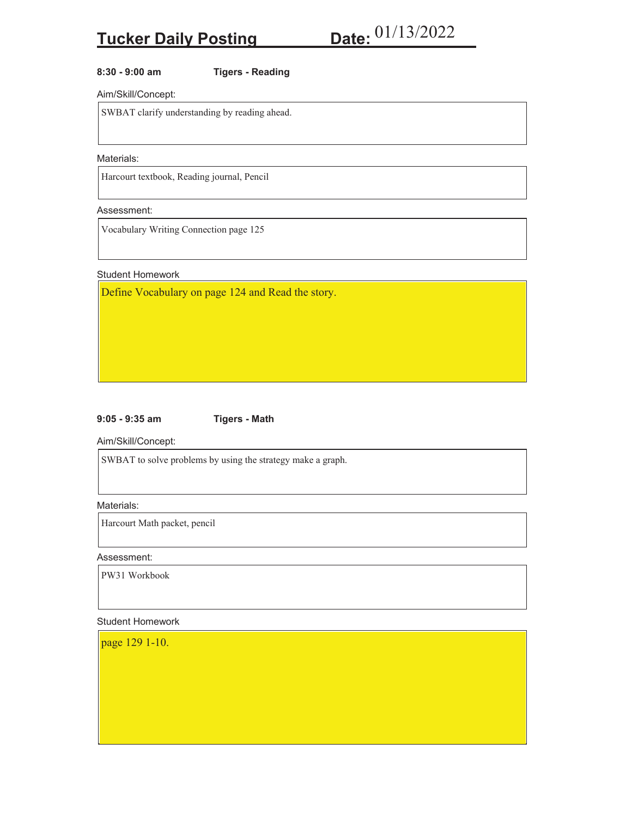# **8:30 - 9:00 am Tigers - Reading**

Aim/Skill/Concept:

SWBAT clarify understanding by reading ahead.

# Materials:

Harcourt textbook, Reading journal, Pencil

## Assessment:

Vocabulary Writing Connection page 125

#### Student Homework

Define Vocabulary on page 124 and Read the story.

## **9:05 - 9:35 am Tigers - Math**

Aim/Skill/Concept:

SWBAT to solve problems by using the strategy make a graph.

Materials:

Harcourt Math packet, pencil

Assessment:

PW31 Workbook

## Student Homework

page 129 1-10.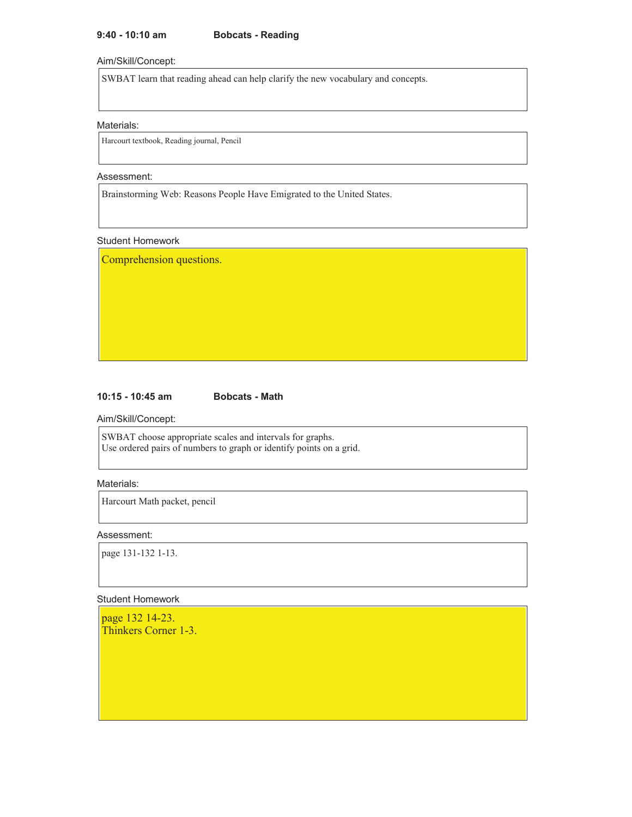# **9:40 - 10:10 am Bobcats - Reading**

## Aim/Skill/Concept:

SWBAT learn that reading ahead can help clarify the new vocabulary and concepts.

## Materials:

Harcourt textbook, Reading journal, Pencil

## Assessment:

Brainstorming Web: Reasons People Have Emigrated to the United States.

## Student Homework

Comprehension questions.

# **10:15 - 10:45 am Bobcats - Math**

Aim/Skill/Concept:

SWBAT choose appropriate scales and intervals for graphs. Use ordered pairs of numbers to graph or identify points on a grid.

# Materials:

Harcourt Math packet, pencil

## Assessment:

page 131-132 1-13.

## Student Homework

page 132 14-23. Thinkers Corner 1-3.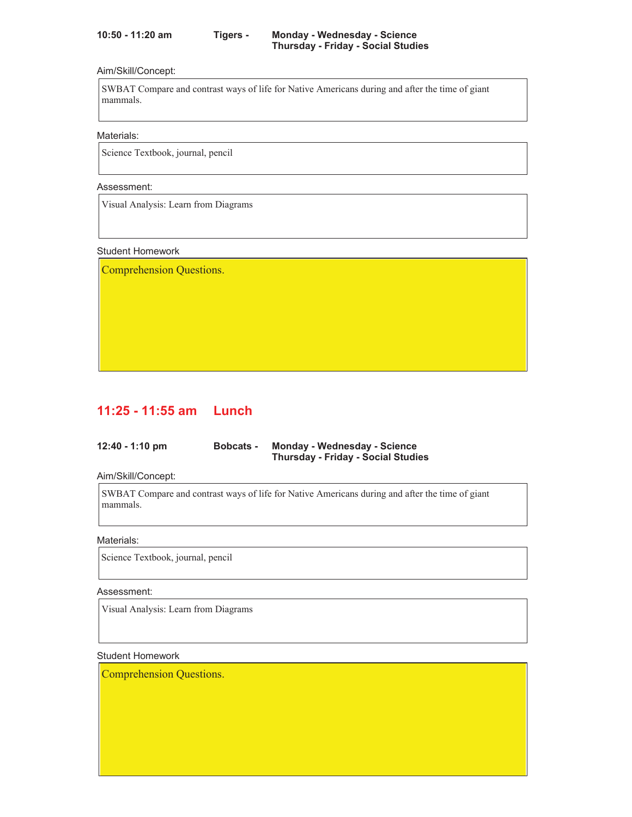## Aim/Skill/Concept:

SWBAT Compare and contrast ways of life for Native Americans during and after the time of giant mammals.

Materials:

Science Textbook, journal, pencil

## Assessment:

Visual Analysis: Learn from Diagrams

## Student Homework

Comprehension Questions.

# **11:25 - 11:55 am Lunch**

| $12:40 - 1:10$ pm | <b>Bobcats -</b> | <b>Monday - Wednesday - Science</b>       |  |
|-------------------|------------------|-------------------------------------------|--|
|                   |                  | <b>Thursday - Friday - Social Studies</b> |  |

Aim/Skill/Concept:

SWBAT Compare and contrast ways of life for Native Americans during and after the time of giant mammals.

## Materials:

Science Textbook, journal, pencil

## Assessment:

Visual Analysis: Learn from Diagrams

## Student Homework

Comprehension Questions.